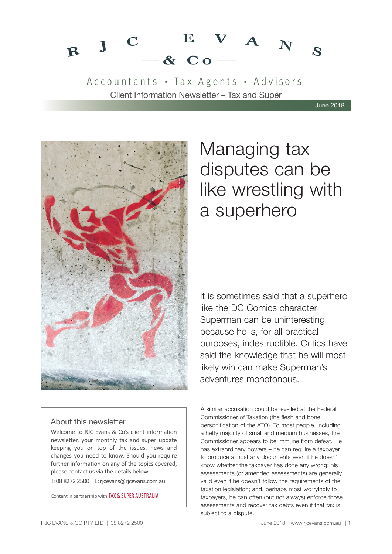#### $V A_N$ E  $\mathbf C$  $R$  J  $\mathbf{z}$  $-$  & Co.

Accountants · Tax Agents · Advisors Client Information Newsletter – Tax and Super

June 2018



#### About this newsletter

Welcome to RJC Evans & Co's client information newsletter, your monthly tax and super update keeping you on top of the issues, news and changes you need to know. Should you require further information on any of the topics covered, please contact us via the details below.

T: 08 8272 2500 | E: rjcevans@rjcevans.com.au

Content in partnership with TAX & SUPER AUSTRALIA

## Managing tax disputes can be like wrestling with a superhero

It is sometimes said that a superhero like the DC Comics character Superman can be uninteresting because he is, for all practical purposes, indestructible. Critics have said the knowledge that he will most likely win can make Superman's adventures monotonous.

A similar accusation could be levelled at the Federal Commissioner of Taxation (the flesh and bone personification of the ATO). To most people, including a hefty majority of small and medium businesses, the Commissioner appears to be immune from defeat. He has extraordinary powers – he can require a taxpayer to produce almost any documents even if he doesn't know whether the taxpayer has done any wrong; his assessments (or amended assessments) are generally valid even if he doesn't follow the requirements of the taxation legislation; and, perhaps most worryingly to taxpayers, he can often (but not always) enforce those assessments and recover tax debts even if that tax is subject to a dispute.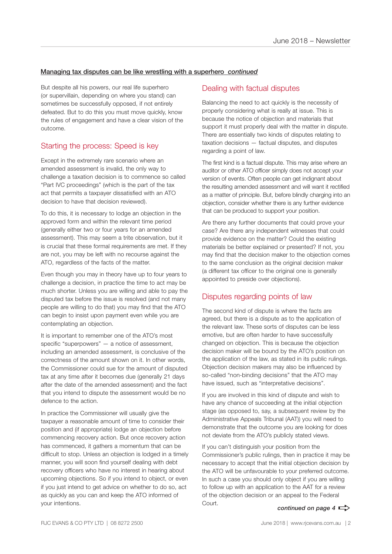#### Managing tax disputes can be like wrestling with a superhero *continued*

But despite all his powers, our real life superhero (or supervillain, depending on where you stand) can sometimes be successfully opposed, if not entirely defeated. But to do this you must move quickly, know the rules of engagement and have a clear vision of the outcome.

#### Starting the process: Speed is key

Except in the extremely rare scenario where an amended assessment is invalid, the only way to challenge a taxation decision is to commence so called "Part IVC proceedings" (which is the part of the tax act that permits a taxpayer dissatisfied with an ATO decision to have that decision reviewed).

To do this, it is necessary to lodge an objection in the approved form and within the relevant time period (generally either two or four years for an amended assessment). This may seem a trite observation, but it is crucial that these formal requirements are met. If they are not, you may be left with no recourse against the ATO, regardless of the facts of the matter.

Even though you may in theory have up to four years to challenge a decision, in practice the time to act may be much shorter. Unless you are willing and able to pay the disputed tax before the issue is resolved (and not many people are willing to do that) you may find that the ATO can begin to insist upon payment even while you are contemplating an objection.

It is important to remember one of the ATO's most specific "superpowers" — a notice of assessment, including an amended assessment, is conclusive of the correctness of the amount shown on it. In other words, the Commissioner could sue for the amount of disputed tax at any time after it becomes due (generally 21 days after the date of the amended assessment) and the fact that you intend to dispute the assessment would be no defence to the action.

In practice the Commissioner will usually give the taxpayer a reasonable amount of time to consider their position and (if appropriate) lodge an objection before commencing recovery action. But once recovery action has commenced, it gathers a momentum that can be difficult to stop. Unless an objection is lodged in a timely manner, you will soon find yourself dealing with debt recovery officers who have no interest in hearing about upcoming objections. So if you intend to object, or even if you just intend to get advice on whether to do so, act as quickly as you can and keep the ATO informed of your intentions.

#### Dealing with factual disputes

Balancing the need to act quickly is the necessity of properly considering what is really at issue. This is because the notice of objection and materials that support it must properly deal with the matter in dispute. There are essentially two kinds of disputes relating to taxation decisions — factual disputes, and disputes regarding a point of law.

The first kind is a factual dispute. This may arise where an auditor or other ATO officer simply does not accept your version of events. Often people can get indignant about the resulting amended assessment and will want it rectified as a matter of principle. But, before blindly charging into an objection, consider whether there is any further evidence that can be produced to support your position.

Are there any further documents that could prove your case? Are there any independent witnesses that could provide evidence on the matter? Could the existing materials be better explained or presented? If not, you may find that the decision maker to the objection comes to the same conclusion as the original decision maker (a different tax officer to the original one is generally appointed to preside over objections).

#### Disputes regarding points of law

The second kind of dispute is where the facts are agreed, but there is a dispute as to the application of the relevant law. These sorts of disputes can be less emotive, but are often harder to have successfully changed on objection. This is because the objection decision maker will be bound by the ATO's position on the application of the law, as stated in its public rulings. Objection decision makers may also be influenced by so-called "non-binding decisions" that the ATO may have issued, such as "interpretative decisions".

If you are involved in this kind of dispute and wish to have any chance of succeeding at the initial objection stage (as opposed to, say, a subsequent review by the Administrative Appeals Tribunal (AAT)) you will need to demonstrate that the outcome you are looking for does not deviate from the ATO's publicly stated views.

If you can't distinguish your position from the Commissioner's public rulings, then in practice it may be necessary to accept that the initial objection decision by the ATO will be unfavourable to your preferred outcome. In such a case you should only object if you are willing to follow up with an application to the AAT for a review of the objection decision or an appeal to the Federal Court.

*continued on page 4*  $\Rightarrow$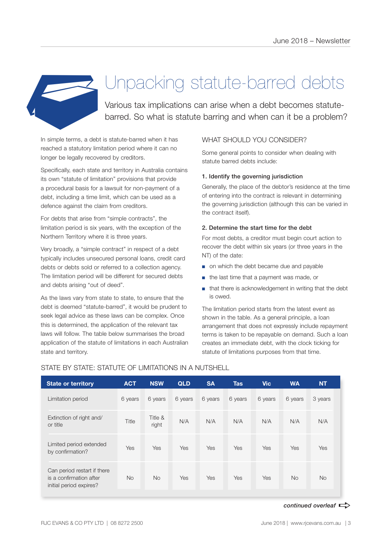

## Unpacking statute-barred debts

Various tax implications can arise when a debt becomes statutebarred. So what is statute barring and when can it be a problem?

In simple terms, a debt is statute-barred when it has reached a statutory limitation period where it can no longer be legally recovered by creditors.

Specifically, each state and territory in Australia contains its own "statute of limitation" provisions that provide a procedural basis for a lawsuit for non-payment of a debt, including a time limit, which can be used as a defence against the claim from creditors.

For debts that arise from "simple contracts", the limitation period is six years, with the exception of the Northern Territory where it is three years.

Very broadly, a "simple contract" in respect of a debt typically includes unsecured personal loans, credit card debts or debts sold or referred to a collection agency. The limitation period will be different for secured debts and debts arising "out of deed".

As the laws vary from state to state, to ensure that the debt is deemed "statute-barred", it would be prudent to seek legal advice as these laws can be complex. Once this is determined, the application of the relevant tax laws will follow. The table below summarises the broad application of the statute of limitations in each Australian state and territory.

#### WHAT SHOULD YOU CONSIDER?

Some general points to consider when dealing with statute barred debts include:

#### 1. Identify the governing jurisdiction

Generally, the place of the debtor's residence at the time of entering into the contract is relevant in determining the governing jurisdiction (although this can be varied in the contract itself).

#### 2. Determine the start time for the debt

For most debts, a creditor must begin court action to recover the debt within six years (or three years in the NT) of the date:

- on which the debt became due and payable
- the last time that a payment was made, or
- that there is acknowledgement in writing that the debt is owed.

The limitation period starts from the latest event as shown in the table. As a general principle, a loan arrangement that does not expressly include repayment terms is taken to be repayable on demand. Such a loan creates an immediate debt, with the clock ticking for statute of limitations purposes from that time.

| <b>State or territory</b>                                                         | <b>ACT</b> | <b>NSW</b>       | <b>QLD</b> | <b>SA</b> | <b>Tas</b> | <b>Vic</b> | <b>WA</b> | <b>NT</b> |
|-----------------------------------------------------------------------------------|------------|------------------|------------|-----------|------------|------------|-----------|-----------|
| Limitation period                                                                 | 6 years    | 6 years          | 6 years    | 6 years   | 6 years    | 6 years    | 6 years   | 3 years   |
| Extinction of right and/<br>or title                                              | Title      | Title &<br>right | N/A        | N/A       | N/A        | N/A        | N/A       | N/A       |
| Limited period extended<br>by confirmation?                                       | Yes        | Yes              | Yes        | Yes       | Yes        | Yes        | Yes       | Yes       |
| Can period restart if there<br>is a confirmation after<br>initial period expires? | <b>No</b>  | <b>No</b>        | Yes        | Yes       | Yes        | Yes        | <b>No</b> | <b>No</b> |

#### STATE BY STATE: STATUTE OF LIMITATIONS IN A NUTSHELL

#### *continued overleaf*  $\Rightarrow$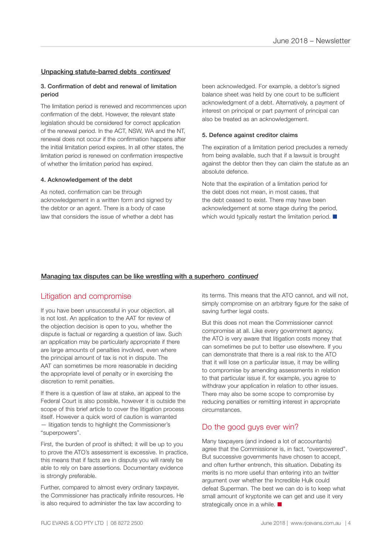#### Unpacking statute-barred debts *continued*

#### 3. Confirmation of debt and renewal of limitation period

The limitation period is renewed and recommences upon confirmation of the debt. However, the relevant state legislation should be considered for correct application of the renewal period. In the ACT, NSW, WA and the NT, renewal does not occur if the confirmation happens after the initial limitation period expires. In all other states, the limitation period is renewed on confirmation irrespective of whether the limitation period has expired.

#### 4. Acknowledgement of the debt

As noted, confirmation can be through acknowledgement in a written form and signed by the debtor or an agent. There is a body of case law that considers the issue of whether a debt has been acknowledged. For example, a debtor's signed balance sheet was held by one court to be sufficient acknowledgment of a debt. Alternatively, a payment of interest on principal or part payment of principal can also be treated as an acknowledgement.

#### 5. Defence against creditor claims

The expiration of a limitation period precludes a remedy from being available, such that if a lawsuit is brought against the debtor then they can claim the statute as an absolute defence.

Note that the expiration of a limitation period for the debt does not mean, in most cases, that the debt ceased to exist. There may have been acknowledgement at some stage during the period, which would typically restart the limitation period.  $\blacksquare$ 

#### Managing tax disputes can be like wrestling with a superhero *continued*

#### Litigation and compromise

If you have been unsuccessful in your objection, all is not lost. An application to the AAT for review of the objection decision is open to you, whether the dispute is factual or regarding a question of law. Such an application may be particularly appropriate if there are large amounts of penalties involved, even where the principal amount of tax is not in dispute. The AAT can sometimes be more reasonable in deciding the appropriate level of penalty or in exercising the discretion to remit penalties.

If there is a question of law at stake, an appeal to the Federal Court is also possible, however it is outside the scope of this brief article to cover the litigation process itself. However a quick word of caution is warranted — litigation tends to highlight the Commissioner's "superpowers".

First, the burden of proof is shifted; it will be up to you to prove the ATO's assessment is excessive. In practice, this means that if facts are in dispute you will rarely be able to rely on bare assertions. Documentary evidence is strongly preferable.

Further, compared to almost every ordinary taxpayer, the Commissioner has practically infinite resources. He is also required to administer the tax law according to

its terms. This means that the ATO cannot, and will not, simply compromise on an arbitrary figure for the sake of saving further legal costs.

But this does not mean the Commissioner cannot compromise at all. Like every government agency, the ATO is very aware that litigation costs money that can sometimes be put to better use elsewhere. If you can demonstrate that there is a real risk to the ATO that it will lose on a particular issue, it may be willing to compromise by amending assessments in relation to that particular issue if, for example, you agree to withdraw your application in relation to other issues. There may also be some scope to compromise by reducing penalties or remitting interest in appropriate circumstances.

#### Do the good guys ever win?

Many taxpayers (and indeed a lot of accountants) agree that the Commissioner is, in fact, "overpowered". But successive governments have chosen to accept, and often further entrench, this situation. Debating its merits is no more useful than entering into an twitter argument over whether the Incredible Hulk could defeat Superman. The best we can do is to keep what small amount of kryptonite we can get and use it very strategically once in a while.  $\blacksquare$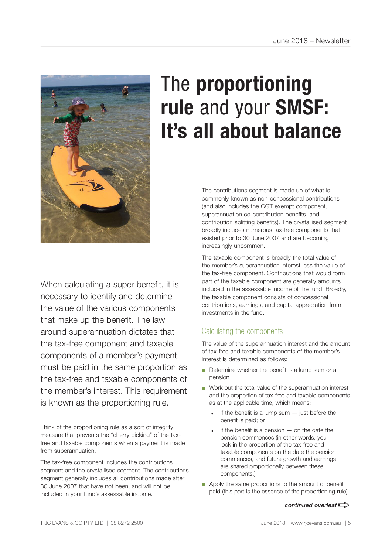

## The **proportioning rule** and your **SMSF: It's all about balance**

The contributions segment is made up of what is commonly known as non-concessional contributions (and also includes the CGT exempt component, superannuation co-contribution benefits, and contribution splitting benefits). The crystallised segment broadly includes numerous tax-free components that existed prior to 30 June 2007 and are becoming increasingly uncommon.

The taxable component is broadly the total value of the member's superannuation interest less the value of the tax-free component. Contributions that would form part of the taxable component are generally amounts included in the assessable income of the fund. Broadly, the taxable component consists of concessional contributions, earnings, and capital appreciation from investments in the fund.

### Calculating the components

The value of the superannuation interest and the amount of tax-free and taxable components of the member's interest is determined as follows:

- Determine whether the benefit is a lump sum or a pension.
- Work out the total value of the superannuation interest and the proportion of tax-free and taxable components as at the applicable time, which means:
	- if the benefit is a lump sum  $-$  just before the benefit is paid; or
	- if the benefit is a pension  $-$  on the date the pension commences (in other words, you lock in the proportion of the tax-free and taxable components on the date the pension commences, and future growth and earnings are shared proportionally between these components.)
- Apply the same proportions to the amount of benefit paid (this part is the essence of the proportioning rule).

#### *continued overleaf* $\Rightarrow$

necessary to identify and determine the value of the various components that make up the benefit. The law around superannuation dictates that the tax-free component and taxable components of a member's payment must be paid in the same proportion as the tax-free and taxable components of the member's interest. This requirement is known as the proportioning rule.

When calculating a super benefit, it is

Think of the proportioning rule as a sort of integrity measure that prevents the "cherry picking" of the taxfree and taxable components when a payment is made from superannuation.

The tax-free component includes the contributions segment and the crystallised segment. The contributions segment generally includes all contributions made after 30 June 2007 that have not been, and will not be, included in your fund's assessable income.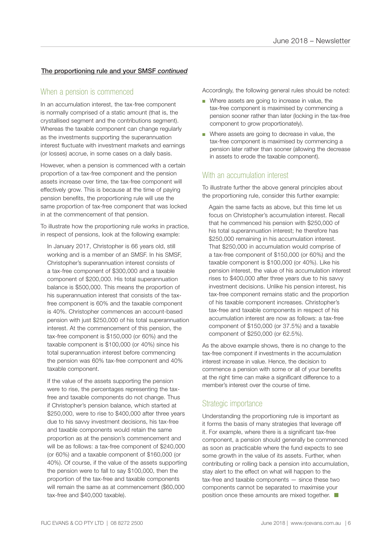#### The proportioning rule and your SMSF *continued*

#### When a pension is commenced

In an accumulation interest, the tax-free component is normally comprised of a static amount (that is, the crystallised segment and the contributions segment). Whereas the taxable component can change regularly as the investments supporting the superannuation interest fluctuate with investment markets and earnings (or losses) accrue, in some cases on a daily basis.

However, when a pension is commenced with a certain proportion of a tax-free component and the pension assets increase over time, the tax-free component will effectively grow. This is because at the time of paying pension benefits, the proportioning rule will use the same proportion of tax-free component that was locked in at the commencement of that pension.

To illustrate how the proportioning rule works in practice, in respect of pensions, look at the following example:

In January 2017, Christopher is 66 years old, still working and is a member of an SMSF. In his SMSF, Christopher's superannuation interest consists of a tax-free component of \$300,000 and a taxable component of \$200,000. His total superannuation balance is \$500,000. This means the proportion of his superannuation interest that consists of the taxfree component is 60% and the taxable component is 40%. Christopher commences an account-based pension with just \$250,000 of his total superannuation interest. At the commencement of this pension, the tax-free component is \$150,000 (or 60%) and the taxable component is \$100,000 (or 40%) since his total superannuation interest before commencing the pension was 60% tax-free component and 40% taxable component.

If the value of the assets supporting the pension were to rise, the percentages representing the taxfree and taxable components do not change. Thus if Christopher's pension balance, which started at \$250,000, were to rise to \$400,000 after three years due to his savvy investment decisions, his tax-free and taxable components would retain the same proportion as at the pension's commencement and will be as follows: a tax-free component of \$240,000 (or 60%) and a taxable component of \$160,000 (or 40%). Of course, if the value of the assets supporting the pension were to fall to say \$100,000, then the proportion of the tax-free and taxable components will remain the same as at commencement (\$60,000 tax-free and \$40,000 taxable).

Accordingly, the following general rules should be noted:

- Where assets are going to increase in value, the tax-free component is maximised by commencing a pension sooner rather than later (locking in the tax-free component to grow proportionately).
- Where assets are going to decrease in value, the tax-free component is maximised by commencing a pension later rather than sooner (allowing the decrease in assets to erode the taxable component).

#### With an accumulation interest

To illustrate further the above general principles about the proportioning rule, consider this further example:

Again the same facts as above, but this time let us focus on Christopher's accumulation interest. Recall that he commenced his pension with \$250,000 of his total superannuation interest; he therefore has \$250,000 remaining in his accumulation interest. That \$250,000 in accumulation would comprise of a tax-free component of \$150,000 (or 60%) and the taxable component is \$100,000 (or 40%). Like his pension interest, the value of his accumulation interest rises to \$400,000 after three years due to his savvy investment decisions. Unlike his pension interest, his tax-free component remains static and the proportion of his taxable component increases. Christopher's tax-free and taxable components in respect of his accumulation interest are now as follows: a tax-free component of \$150,000 (or 37.5%) and a taxable component of \$250,000 (or 62.5%).

As the above example shows, there is no change to the tax-free component if investments in the accumulation interest increase in value. Hence, the decision to commence a pension with some or all of your benefits at the right time can make a significant difference to a member's interest over the course of time.

#### Strategic importance

Understanding the proportioning rule is important as it forms the basis of many strategies that leverage off it. For example, where there is a significant tax-free component, a pension should generally be commenced as soon as practicable where the fund expects to see some growth in the value of its assets. Further, when contributing or rolling back a pension into accumulation, stay alert to the effect on what will happen to the tax-free and taxable components — since these two components cannot be separated to maximise your position once these amounts are mixed together.  $\Box$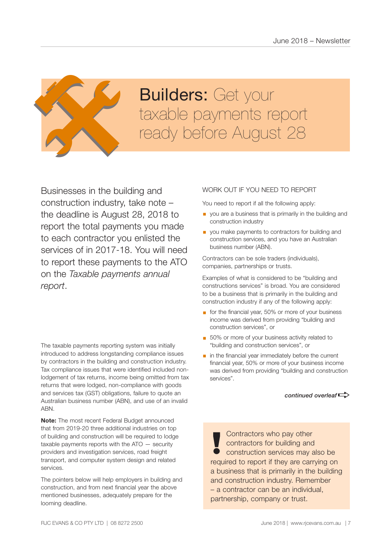

# **Builders: Get your Builders:** Get your<br>taxable payments report<br>ready before August 28

Businesses in the building and construction industry, take note – the deadline is August 28, 2018 to report the total payments you made to each contractor you enlisted the services of in 2017-18. You will need to report these payments to the ATO on the *Taxable payments annual report*.

The taxable payments reporting system was initially introduced to address longstanding compliance issues by contractors in the building and construction industry. Tax compliance issues that were identified included nonlodgement of tax returns, income being omitted from tax returns that were lodged, non-compliance with goods and services tax (GST) obligations, failure to quote an Australian business number (ABN), and use of an invalid ABN.

**Note:** The most recent Federal Budget announced that from 2019-20 three additional industries on top of building and construction will be required to lodge taxable payments reports with the ATO — security providers and investigation services, road freight transport, and computer system design and related services.

The pointers below will help employers in building and construction, and from next financial year the above mentioned businesses, adequately prepare for the looming deadline.

#### WORK OUT IF YOU NEED TO REPORT

You need to report if all the following apply:

- **•** you are a business that is primarily in the building and construction industry
- **•** you make payments to contractors for building and construction services, and you have an Australian business number (ABN).

Contractors can be sole traders (individuals), companies, partnerships or trusts.

Examples of what is considered to be "building and constructions services" is broad. You are considered to be a business that is primarily in the building and construction industry if any of the following apply:

- for the financial year, 50% or more of your business income was derived from providing "building and construction services", or
- 50% or more of your business activity related to "building and construction services", or
- in the financial year immediately before the current financial year, 50% or more of your business income was derived from providing "building and construction services".

*continued overleaf* $\Rightarrow$ 

Contractors who pay other contractors for building and **!** construction services may also be required to report if they are carrying on a business that is primarily in the building and construction industry. Remember – a contractor can be an individual, partnership, company or trust.